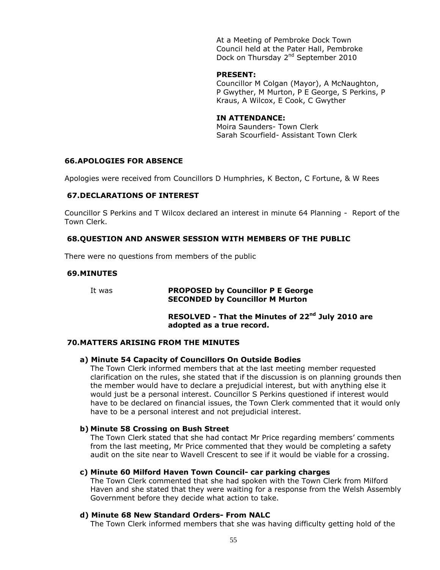At a Meeting of Pembroke Dock Town Council held at the Pater Hall, Pembroke Dock on Thursday 2<sup>nd</sup> September 2010

#### **PRESENT:**

Councillor M Colgan (Mayor), A McNaughton, P Gwyther, M Murton, P E George, S Perkins, P Kraus, A Wilcox, E Cook, C Gwyther

# **IN ATTENDANCE:**

Moira Saunders- Town Clerk Sarah Scourfield- Assistant Town Clerk

# **66.APOLOGIES FOR ABSENCE**

Apologies were received from Councillors D Humphries, K Becton, C Fortune, & W Rees

#### **67.DECLARATIONS OF INTEREST**

Councillor S Perkins and T Wilcox declared an interest in minute 64 Planning - Report of the Town Clerk.

# **68.QUESTION AND ANSWER SESSION WITH MEMBERS OF THE PUBLIC**

There were no questions from members of the public

#### **69.MINUTES**

#### It was **PROPOSED by Councillor P E George SECONDED by Councillor M Murton**

# **RESOLVED - That the Minutes of 22nd July 2010 are adopted as a true record.**

# **70.MATTERS ARISING FROM THE MINUTES**

#### **a) Minute 54 Capacity of Councillors On Outside Bodies**

The Town Clerk informed members that at the last meeting member requested clarification on the rules, she stated that if the discussion is on planning grounds then the member would have to declare a prejudicial interest, but with anything else it would just be a personal interest. Councillor S Perkins questioned if interest would have to be declared on financial issues, the Town Clerk commented that it would only have to be a personal interest and not prejudicial interest.

#### **b) Minute 58 Crossing on Bush Street**

The Town Clerk stated that she had contact Mr Price regarding members' comments from the last meeting, Mr Price commented that they would be completing a safety audit on the site near to Wavell Crescent to see if it would be viable for a crossing.

#### **c) Minute 60 Milford Haven Town Council- car parking charges**

The Town Clerk commented that she had spoken with the Town Clerk from Milford Haven and she stated that they were waiting for a response from the Welsh Assembly Government before they decide what action to take.

## **d) Minute 68 New Standard Orders- From NALC**

The Town Clerk informed members that she was having difficulty getting hold of the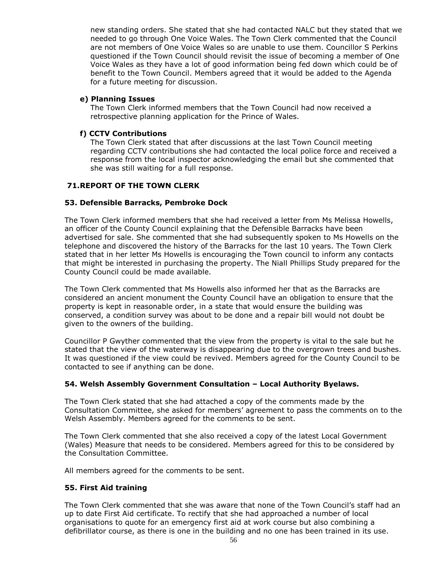new standing orders. She stated that she had contacted NALC but they stated that we needed to go through One Voice Wales. The Town Clerk commented that the Council are not members of One Voice Wales so are unable to use them. Councillor S Perkins questioned if the Town Council should revisit the issue of becoming a member of One Voice Wales as they have a lot of good information being fed down which could be of benefit to the Town Council. Members agreed that it would be added to the Agenda for a future meeting for discussion.

# **e) Planning Issues**

The Town Clerk informed members that the Town Council had now received a retrospective planning application for the Prince of Wales.

# **f) CCTV Contributions**

The Town Clerk stated that after discussions at the last Town Council meeting regarding CCTV contributions she had contacted the local police force and received a response from the local inspector acknowledging the email but she commented that she was still waiting for a full response.

# **71.REPORT OF THE TOWN CLERK**

# **53. Defensible Barracks, Pembroke Dock**

The Town Clerk informed members that she had received a letter from Ms Melissa Howells, an officer of the County Council explaining that the Defensible Barracks have been advertised for sale. She commented that she had subsequently spoken to Ms Howells on the telephone and discovered the history of the Barracks for the last 10 years. The Town Clerk stated that in her letter Ms Howells is encouraging the Town council to inform any contacts that might be interested in purchasing the property. The Niall Phillips Study prepared for the County Council could be made available.

The Town Clerk commented that Ms Howells also informed her that as the Barracks are considered an ancient monument the County Council have an obligation to ensure that the property is kept in reasonable order, in a state that would ensure the building was conserved, a condition survey was about to be done and a repair bill would not doubt be given to the owners of the building.

Councillor P Gwyther commented that the view from the property is vital to the sale but he stated that the view of the waterway is disappearing due to the overgrown trees and bushes. It was questioned if the view could be revived. Members agreed for the County Council to be contacted to see if anything can be done.

# **54. Welsh Assembly Government Consultation – Local Authority Byelaws.**

The Town Clerk stated that she had attached a copy of the comments made by the Consultation Committee, she asked for members' agreement to pass the comments on to the Welsh Assembly. Members agreed for the comments to be sent.

The Town Clerk commented that she also received a copy of the latest Local Government (Wales) Measure that needs to be considered. Members agreed for this to be considered by the Consultation Committee.

All members agreed for the comments to be sent.

# **55. First Aid training**

The Town Clerk commented that she was aware that none of the Town Council's staff had an up to date First Aid certificate. To rectify that she had approached a number of local organisations to quote for an emergency first aid at work course but also combining a defibrillator course, as there is one in the building and no one has been trained in its use.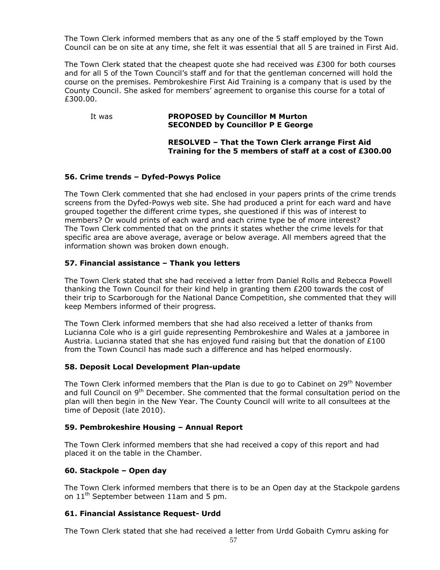The Town Clerk informed members that as any one of the 5 staff employed by the Town Council can be on site at any time, she felt it was essential that all 5 are trained in First Aid.

The Town Clerk stated that the cheapest quote she had received was £300 for both courses and for all 5 of the Town Council's staff and for that the gentleman concerned will hold the course on the premises. Pembrokeshire First Aid Training is a company that is used by the County Council. She asked for members' agreement to organise this course for a total of £300.00.

#### It was **PROPOSED by Councillor M Murton SECONDED by Councillor P E George**

# **RESOLVED – That the Town Clerk arrange First Aid Training for the 5 members of staff at a cost of £300.00**

# **56. Crime trends – Dyfed-Powys Police**

The Town Clerk commented that she had enclosed in your papers prints of the crime trends screens from the Dyfed-Powys web site. She had produced a print for each ward and have grouped together the different crime types, she questioned if this was of interest to members? Or would prints of each ward and each crime type be of more interest? The Town Clerk commented that on the prints it states whether the crime levels for that specific area are above average, average or below average. All members agreed that the information shown was broken down enough.

# **57. Financial assistance – Thank you letters**

The Town Clerk stated that she had received a letter from Daniel Rolls and Rebecca Powell thanking the Town Council for their kind help in granting them  $E200$  towards the cost of their trip to Scarborough for the National Dance Competition, she commented that they will keep Members informed of their progress.

The Town Clerk informed members that she had also received a letter of thanks from Lucianna Cole who is a girl guide representing Pembrokeshire and Wales at a jamboree in Austria. Lucianna stated that she has enjoyed fund raising but that the donation of  $£100$ from the Town Council has made such a difference and has helped enormously.

# **58. Deposit Local Development Plan-update**

The Town Clerk informed members that the Plan is due to go to Cabinet on  $29<sup>th</sup>$  November and full Council on 9<sup>th</sup> December. She commented that the formal consultation period on the plan will then begin in the New Year. The County Council will write to all consultees at the time of Deposit (late 2010).

# **59. Pembrokeshire Housing – Annual Report**

The Town Clerk informed members that she had received a copy of this report and had placed it on the table in the Chamber.

# **60. Stackpole – Open day**

The Town Clerk informed members that there is to be an Open day at the Stackpole gardens on  $11<sup>th</sup>$  September between 11am and 5 pm.

# **61. Financial Assistance Request- Urdd**

The Town Clerk stated that she had received a letter from Urdd Gobaith Cymru asking for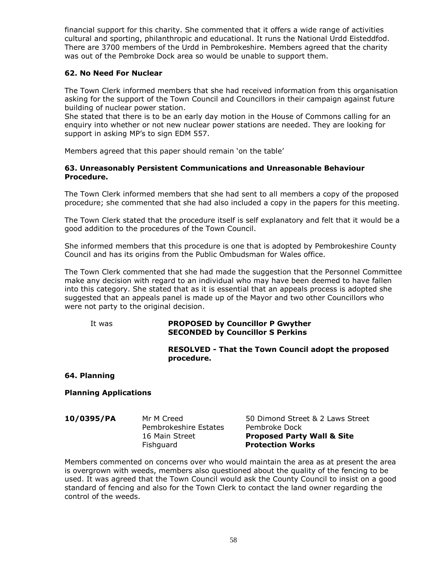financial support for this charity. She commented that it offers a wide range of activities cultural and sporting, philanthropic and educational. It runs the National Urdd Eisteddfod. There are 3700 members of the Urdd in Pembrokeshire. Members agreed that the charity was out of the Pembroke Dock area so would be unable to support them.

# **62. No Need For Nuclear**

The Town Clerk informed members that she had received information from this organisation asking for the support of the Town Council and Councillors in their campaign against future building of nuclear power station.

She stated that there is to be an early day motion in the House of Commons calling for an enquiry into whether or not new nuclear power stations are needed. They are looking for support in asking MP's to sign EDM 557.

Members agreed that this paper should remain 'on the table'

## **63. Unreasonably Persistent Communications and Unreasonable Behaviour Procedure.**

The Town Clerk informed members that she had sent to all members a copy of the proposed procedure; she commented that she had also included a copy in the papers for this meeting.

The Town Clerk stated that the procedure itself is self explanatory and felt that it would be a good addition to the procedures of the Town Council.

She informed members that this procedure is one that is adopted by Pembrokeshire County Council and has its origins from the Public Ombudsman for Wales office.

The Town Clerk commented that she had made the suggestion that the Personnel Committee make any decision with regard to an individual who may have been deemed to have fallen into this category. She stated that as it is essential that an appeals process is adopted she suggested that an appeals panel is made up of the Mayor and two other Councillors who were not party to the original decision.

#### It was **PROPOSED by Councillor P Gwyther SECONDED by Councillor S Perkins**

**RESOLVED - That the Town Council adopt the proposed procedure.**

**64. Planning**

**Planning Applications**

**10/0395/PA** Mr M Creed 50 Dimond Street & 2 Laws Street Pembrokeshire Estates Pembroke Dock 16 Main Street **Proposed Party Wall & Site**  Fishguard **Protection Works**

Members commented on concerns over who would maintain the area as at present the area is overgrown with weeds, members also questioned about the quality of the fencing to be used. It was agreed that the Town Council would ask the County Council to insist on a good standard of fencing and also for the Town Clerk to contact the land owner regarding the control of the weeds.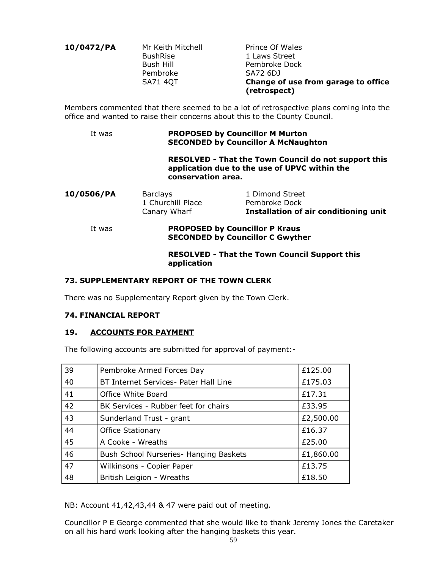| 10/0472/PA | Mr Keith Mitchell<br><b>BushRise</b> |
|------------|--------------------------------------|
|            | <b>Bush Hill</b>                     |
|            | Pembroke                             |
|            | <b>SA71 4QT</b>                      |
|            |                                      |

**Prince Of Wales** 1 Laws Street Pembroke Dock SA72 6DJ **Change of use from garage to office (retrospect)**

Members commented that there seemed to be a lot of retrospective plans coming into the office and wanted to raise their concerns about this to the County Council.

#### It was **PROPOSED by Councillor M Murton SECONDED by Councillor A McNaughton**

**RESOLVED - That the Town Council do not support this application due to the use of UPVC within the conservation area.**

|            | Canary Wharf      | Installation of air conditioning unit |
|------------|-------------------|---------------------------------------|
|            | 1 Churchill Place | Pembroke Dock                         |
| 10/0506/PA | Barclays          | 1 Dimond Street                       |

# It was **PROPOSED by Councillor P Kraus SECONDED by Councillor C Gwyther**

# **RESOLVED - That the Town Council Support this application**

# **73. SUPPLEMENTARY REPORT OF THE TOWN CLERK**

There was no Supplementary Report given by the Town Clerk.

# **74. FINANCIAL REPORT**

# **19. ACCOUNTS FOR PAYMENT**

The following accounts are submitted for approval of payment:-

| 39 | Pembroke Armed Forces Day              | £125.00   |
|----|----------------------------------------|-----------|
| 40 | BT Internet Services- Pater Hall Line  | £175.03   |
| 41 | Office White Board                     | £17.31    |
| 42 | BK Services - Rubber feet for chairs   | £33.95    |
| 43 | Sunderland Trust - grant               | £2,500.00 |
| 44 | <b>Office Stationary</b>               | £16.37    |
| 45 | A Cooke - Wreaths                      | £25.00    |
| 46 | Bush School Nurseries- Hanging Baskets | £1,860.00 |
| 47 | Wilkinsons - Copier Paper              | £13.75    |
| 48 | British Leigion - Wreaths              | £18.50    |

NB: Account 41,42,43,44 & 47 were paid out of meeting.

Councillor P E George commented that she would like to thank Jeremy Jones the Caretaker on all his hard work looking after the hanging baskets this year.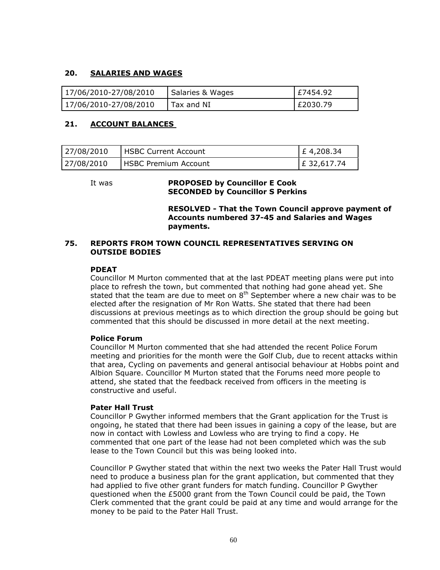# **20. SALARIES AND WAGES**

| 17/06/2010-27/08/2010 | Salaries & Wages | E7454.92 |
|-----------------------|------------------|----------|
| 17/06/2010-27/08/2010 | Tax and NI       | E2030.79 |

# **21. ACCOUNT BALANCES**

| 27/08/2010 | <b>I HSBC Current Account</b> | $E$ 4,208.34 |
|------------|-------------------------------|--------------|
| 27/08/2010 | <b>IHSBC Premium Account</b>  | E 32,617.74  |

#### It was **PROPOSED by Councillor E Cook SECONDED by Councillor S Perkins**

**RESOLVED - That the Town Council approve payment of Accounts numbered 37-45 and Salaries and Wages payments.**

## **75. REPORTS FROM TOWN COUNCIL REPRESENTATIVES SERVING ON OUTSIDE BODIES**

# **PDEAT**

Councillor M Murton commented that at the last PDEAT meeting plans were put into place to refresh the town, but commented that nothing had gone ahead yet. She stated that the team are due to meet on  $8<sup>th</sup>$  September where a new chair was to be elected after the resignation of Mr Ron Watts. She stated that there had been discussions at previous meetings as to which direction the group should be going but commented that this should be discussed in more detail at the next meeting.

# **Police Forum**

Councillor M Murton commented that she had attended the recent Police Forum meeting and priorities for the month were the Golf Club, due to recent attacks within that area, Cycling on pavements and general antisocial behaviour at Hobbs point and Albion Square. Councillor M Murton stated that the Forums need more people to attend, she stated that the feedback received from officers in the meeting is constructive and useful.

# **Pater Hall Trust**

Councillor P Gwyther informed members that the Grant application for the Trust is ongoing, he stated that there had been issues in gaining a copy of the lease, but are now in contact with Lowless and Lowless who are trying to find a copy. He commented that one part of the lease had not been completed which was the sub lease to the Town Council but this was being looked into.

Councillor P Gwyther stated that within the next two weeks the Pater Hall Trust would need to produce a business plan for the grant application, but commented that they had applied to five other grant funders for match funding. Councillor P Gwyther questioned when the £5000 grant from the Town Council could be paid, the Town Clerk commented that the grant could be paid at any time and would arrange for the money to be paid to the Pater Hall Trust.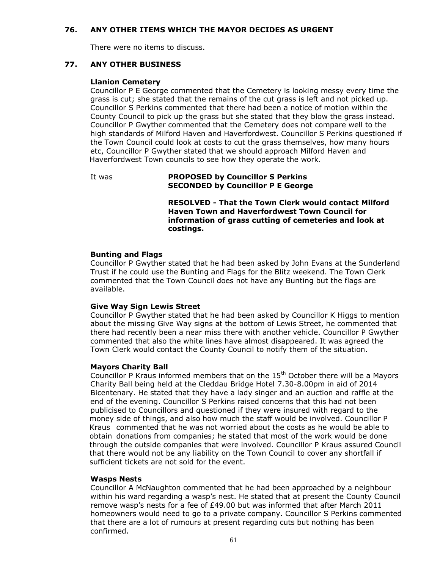# **76. ANY OTHER ITEMS WHICH THE MAYOR DECIDES AS URGENT**

There were no items to discuss.

## **77. ANY OTHER BUSINESS**

#### **Llanion Cemetery**

Councillor P E George commented that the Cemetery is looking messy every time the grass is cut; she stated that the remains of the cut grass is left and not picked up. Councillor S Perkins commented that there had been a notice of motion within the County Council to pick up the grass but she stated that they blow the grass instead. Councillor P Gwyther commented that the Cemetery does not compare well to the high standards of Milford Haven and Haverfordwest. Councillor S Perkins questioned if the Town Council could look at costs to cut the grass themselves, how many hours etc, Councillor P Gwyther stated that we should approach Milford Haven and Haverfordwest Town councils to see how they operate the work.

#### It was **PROPOSED by Councillor S Perkins SECONDED by Councillor P E George**

**RESOLVED - That the Town Clerk would contact Milford Haven Town and Haverfordwest Town Council for information of grass cutting of cemeteries and look at costings.**

#### **Bunting and Flags**

Councillor P Gwyther stated that he had been asked by John Evans at the Sunderland Trust if he could use the Bunting and Flags for the Blitz weekend. The Town Clerk commented that the Town Council does not have any Bunting but the flags are available.

#### **Give Way Sign Lewis Street**

Councillor P Gwyther stated that he had been asked by Councillor K Higgs to mention about the missing Give Way signs at the bottom of Lewis Street, he commented that there had recently been a near miss there with another vehicle. Councillor P Gwyther commented that also the white lines have almost disappeared. It was agreed the Town Clerk would contact the County Council to notify them of the situation.

#### **Mayors Charity Ball**

Councillor P Kraus informed members that on the 15<sup>th</sup> October there will be a Mayors Charity Ball being held at the Cleddau Bridge Hotel 7.30-8.00pm in aid of 2014 Bicentenary. He stated that they have a lady singer and an auction and raffle at the end of the evening. Councillor S Perkins raised concerns that this had not been publicised to Councillors and questioned if they were insured with regard to the money side of things, and also how much the staff would be involved. Councillor P Kraus commented that he was not worried about the costs as he would be able to obtain donations from companies; he stated that most of the work would be done through the outside companies that were involved. Councillor P Kraus assured Council that there would not be any liability on the Town Council to cover any shortfall if sufficient tickets are not sold for the event.

#### **Wasps Nests**

Councillor A McNaughton commented that he had been approached by a neighbour within his ward regarding a wasp's nest. He stated that at present the County Council remove wasp's nests for a fee of £49.00 but was informed that after March 2011 homeowners would need to go to a private company. Councillor S Perkins commented that there are a lot of rumours at present regarding cuts but nothing has been confirmed.